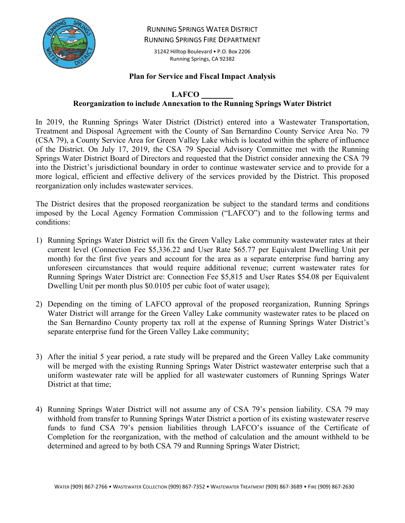

RUNNING SPRINGS WATER DISTRICT RUNNING SPRINGS FIRE DEPARTMENT

31242 Hilltop Boulevard • P.O. Box 2206 Running Springs, CA 92382

#### **Plan for Service and Fiscal Impact Analysis**

## **LAFCO \_\_\_\_**

## **Reorganization to include Annexation to the Running Springs Water District**

In 2019, the Running Springs Water District (District) entered into a Wastewater Transportation, Treatment and Disposal Agreement with the County of San Bernardino County Service Area No. 79 (CSA 79), a County Service Area for Green Valley Lake which is located within the sphere of influence of the District. On July 17, 2019, the CSA 79 Special Advisory Committee met with the Running Springs Water District Board of Directors and requested that the District consider annexing the CSA 79 into the District's jurisdictional boundary in order to continue wastewater service and to provide for a more logical, efficient and effective delivery of the services provided by the District. This proposed reorganization only includes wastewater services.

The District desires that the proposed reorganization be subject to the standard terms and conditions imposed by the Local Agency Formation Commission ("LAFCO") and to the following terms and conditions:

- 1) Running Springs Water District will fix the Green Valley Lake community wastewater rates at their current level (Connection Fee \$5,336.22 and User Rate \$65.77 per Equivalent Dwelling Unit per month) for the first five years and account for the area as a separate enterprise fund barring any unforeseen circumstances that would require additional revenue; current wastewater rates for Running Springs Water District are: Connection Fee \$5,815 and User Rates \$54.08 per Equivalent Dwelling Unit per month plus \$0.0105 per cubic foot of water usage);
- 2) Depending on the timing of LAFCO approval of the proposed reorganization, Running Springs Water District will arrange for the Green Valley Lake community wastewater rates to be placed on the San Bernardino County property tax roll at the expense of Running Springs Water District's separate enterprise fund for the Green Valley Lake community;
- 3) After the initial 5 year period, a rate study will be prepared and the Green Valley Lake community will be merged with the existing Running Springs Water District wastewater enterprise such that a uniform wastewater rate will be applied for all wastewater customers of Running Springs Water District at that time;
- 4) Running Springs Water District will not assume any of CSA 79's pension liability. CSA 79 may withhold from transfer to Running Springs Water District a portion of its existing wastewater reserve funds to fund CSA 79's pension liabilities through LAFCO's issuance of the Certificate of Completion for the reorganization, with the method of calculation and the amount withheld to be determined and agreed to by both CSA 79 and Running Springs Water District;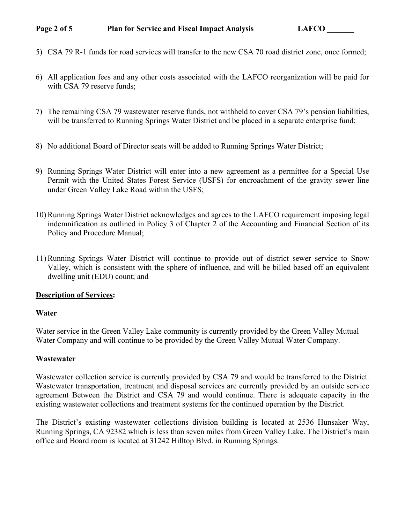## **Page 2 of 5** Plan for Service and Fiscal Impact Analysis LAFCO

- 5) CSA 79 R-1 funds for road services will transfer to the new CSA 70 road district zone, once formed;
- 6) All application fees and any other costs associated with the LAFCO reorganization will be paid for with CSA 79 reserve funds;
- 7) The remaining CSA 79 wastewater reserve funds, not withheld to cover CSA 79's pension liabilities, will be transferred to Running Springs Water District and be placed in a separate enterprise fund;
- 8) No additional Board of Director seats will be added to Running Springs Water District;
- 9) Running Springs Water District will enter into a new agreement as a permittee for a Special Use Permit with the United States Forest Service (USFS) for encroachment of the gravity sewer line under Green Valley Lake Road within the USFS;
- 10) Running Springs Water District acknowledges and agrees to the LAFCO requirement imposing legal indemnification as outlined in Policy 3 of Chapter 2 of the Accounting and Financial Section of its Policy and Procedure Manual;
- 11) Running Springs Water District will continue to provide out of district sewer service to Snow Valley, which is consistent with the sphere of influence, and will be billed based off an equivalent dwelling unit (EDU) count; and

## **Description of Services:**

## **Water**

Water service in the Green Valley Lake community is currently provided by the Green Valley Mutual Water Company and will continue to be provided by the Green Valley Mutual Water Company.

## **Wastewater**

Wastewater collection service is currently provided by CSA 79 and would be transferred to the District. Wastewater transportation, treatment and disposal services are currently provided by an outside service agreement Between the District and CSA 79 and would continue. There is adequate capacity in the existing wastewater collections and treatment systems for the continued operation by the District.

The District's existing wastewater collections division building is located at 2536 Hunsaker Way, Running Springs, CA 92382 which is less than seven miles from Green Valley Lake. The District's main office and Board room is located at 31242 Hilltop Blvd. in Running Springs.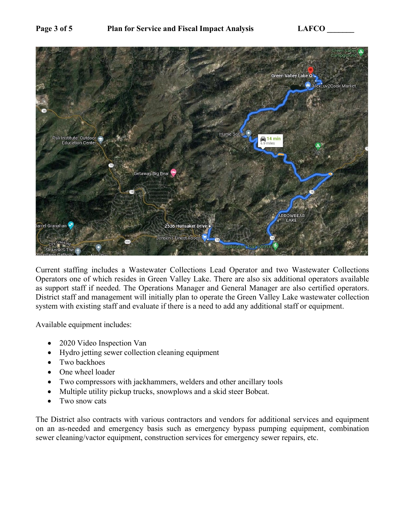

Current staffing includes a Wastewater Collections Lead Operator and two Wastewater Collections Operators one of which resides in Green Valley Lake. There are also six additional operators available as support staff if needed. The Operations Manager and General Manager are also certified operators. District staff and management will initially plan to operate the Green Valley Lake wastewater collection system with existing staff and evaluate if there is a need to add any additional staff or equipment.

Available equipment includes:

- 2020 Video Inspection Van
- Hydro jetting sewer collection cleaning equipment
- Two backhoes
- One wheel loader
- Two compressors with jackhammers, welders and other ancillary tools
- Multiple utility pickup trucks, snowplows and a skid steer Bobcat.
- Two snow cats

The District also contracts with various contractors and vendors for additional services and equipment on an as-needed and emergency basis such as emergency bypass pumping equipment, combination sewer cleaning/vactor equipment, construction services for emergency sewer repairs, etc.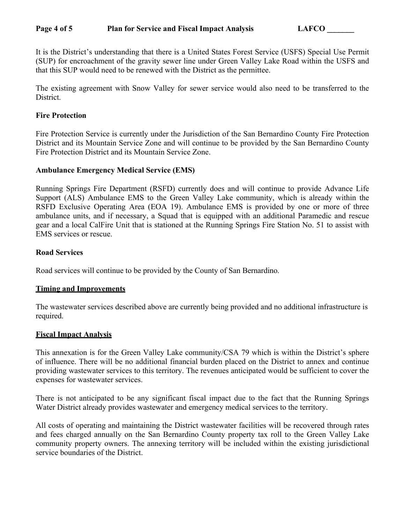#### Page 4 of 5 Plan for Service and Fiscal Impact Analysis LAFCO

It is the District's understanding that there is a United States Forest Service (USFS) Special Use Permit (SUP) for encroachment of the gravity sewer line under Green Valley Lake Road within the USFS and that this SUP would need to be renewed with the District as the permittee.

The existing agreement with Snow Valley for sewer service would also need to be transferred to the District.

#### **Fire Protection**

Fire Protection Service is currently under the Jurisdiction of the San Bernardino County Fire Protection District and its Mountain Service Zone and will continue to be provided by the San Bernardino County Fire Protection District and its Mountain Service Zone.

#### **Ambulance Emergency Medical Service (EMS)**

Running Springs Fire Department (RSFD) currently does and will continue to provide Advance Life Support (ALS) Ambulance EMS to the Green Valley Lake community, which is already within the RSFD Exclusive Operating Area (EOA 19). Ambulance EMS is provided by one or more of three ambulance units, and if necessary, a Squad that is equipped with an additional Paramedic and rescue gear and a local CalFire Unit that is stationed at the Running Springs Fire Station No. 51 to assist with EMS services or rescue.

#### **Road Services**

Road services will continue to be provided by the County of San Bernardino.

#### **Timing and Improvements**

The wastewater services described above are currently being provided and no additional infrastructure is required.

## **Fiscal Impact Analysis**

This annexation is for the Green Valley Lake community/CSA 79 which is within the District's sphere of influence. There will be no additional financial burden placed on the District to annex and continue providing wastewater services to this territory. The revenues anticipated would be sufficient to cover the expenses for wastewater services.

There is not anticipated to be any significant fiscal impact due to the fact that the Running Springs Water District already provides wastewater and emergency medical services to the territory.

All costs of operating and maintaining the District wastewater facilities will be recovered through rates and fees charged annually on the San Bernardino County property tax roll to the Green Valley Lake community property owners. The annexing territory will be included within the existing jurisdictional service boundaries of the District.